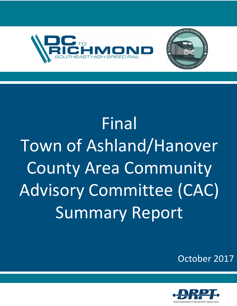

# **Final** Town of Ashland/Hanover County Area Community Advisory Committee (CAC) Summary Report



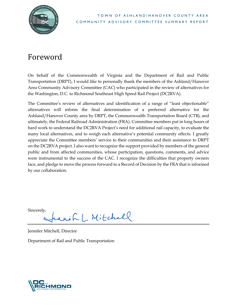

# <span id="page-1-0"></span>Foreword

On behalf of the Commonwealth of Virginia and the Department of Rail and Public Transportation (DRPT), I would like to personally thank the members of the Ashland/Hanover Area Community Advisory Committee (CAC) who participated in the review of alternatives for the Washington, D.C. to Richmond Southeast High Speed Rail Project (DC2RVA).

The Committee's review of alternatives and identification of a range of "least objectionable" alternatives will inform the final determination of a preferred alternative for the Ashland/Hanover County area by DRPT, the Commonwealth Transportation Board (CTB), and ultimately, the Federal Railroad Administration (FRA). Committee members put in long hours of hard work to understand the DC2RVA Project's need for additional rail capacity, to evaluate the many local alternatives, and to weigh each alternative's potential community effects. I greatly appreciate the Committee members' service to their communities and their assistance to DRPT on the DC2RVA project. I also want to recognize the support provided by members of the general public and from affected communities, whose participation, questions, comments, and advice were instrumental to the success of the CAC. I recognize the difficulties that property owners face, and pledge to move the process forward to a Record of Decision by the FRA that is informed by our collaboration.

Sincerely,

win L. Mitchell

Jennifer Mitchell, Director

Department of Rail and Public Transportation

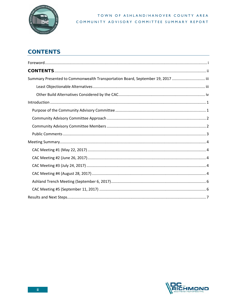

# <span id="page-2-0"></span>**CONTENTS**

| Summary Presented to Commonwealth Transportation Board, September 19, 2017  iii |
|---------------------------------------------------------------------------------|
|                                                                                 |
|                                                                                 |
|                                                                                 |
|                                                                                 |
|                                                                                 |
|                                                                                 |
|                                                                                 |
|                                                                                 |
|                                                                                 |
|                                                                                 |
|                                                                                 |
|                                                                                 |
|                                                                                 |
|                                                                                 |
|                                                                                 |

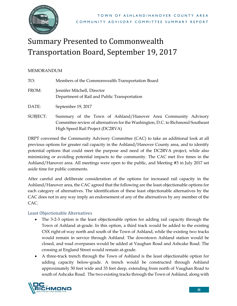

# <span id="page-3-0"></span>Summary Presented to Commonwealth Transportation Board, September 19, 2017

#### MEMORANDUM

| TO:      | Members of the Commonwealth Transportation Board                                                                                                                                      |
|----------|---------------------------------------------------------------------------------------------------------------------------------------------------------------------------------------|
| FROM:    | Jennifer Mitchell, Director<br>Department of Rail and Public Transportation                                                                                                           |
| DATE:    | September 19, 2017                                                                                                                                                                    |
| SUBJECT: | Summary of the Town of Ashland/Hanover Area Community Advisory<br>Committee review of alternatives for the Washington, D.C. to Richmond Southeast<br>High Speed Rail Project (DC2RVA) |

DRPT convened the Community Advisory Committee (CAC) to take an additional look at all previous options for greater rail capacity in the Ashland/Hanover County area, and to identify potential options that could meet the purpose and need of the DC2RVA project, while also minimizing or avoiding potential impacts to the community. The CAC met five times in the Ashland/Hanover area. All meetings were open to the public, and Meeting #3 in July 2017 set aside time for public comments.

After careful and deliberate consideration of the options for increased rail capacity in the Ashland/Hanover area, the CAC agreed that the following are the least objectionable options for each category of alternatives. The identification of these least objectionable alternatives by the CAC does not in any way imply an endorsement of any of the alternatives by any member of the CAC.

## <span id="page-3-1"></span>Least Objectionable Alternatives

- The 3-2-3 option is the least objectionable option for adding rail capacity through the Town of Ashland at-grade. In this option, a third track would be added to the existing CSX right-of-way north and south of the Town of Ashland, while the existing two tracks would remain in service through Ashland. The downtown Ashland station would be closed, and road overpasses would be added at Vaughan Road and Ashcake Road. The crossing at England Street would remain at-grade.
- A three-track trench through the Town of Ashland is the least objectionable option for adding capacity below-grade. A trench would be constructed through Ashland approximately 50 feet wide and 33 feet deep, extending from north of Vaughan Road to south of Ashcake Road. The two existing tracks through the Town of Ashland, along with

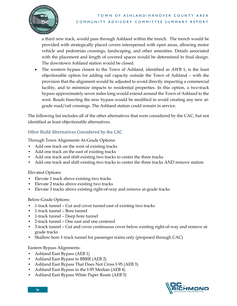

a third new track, would pass through Ashland within the trench. The trench would be provided with strategically placed covers interspersed with open areas, allowing motor vehicle and pedestrian crossings, landscaping, and other amenities. Details associated with the placement and length of covered spaces would be determined in final design. The downtown Ashland station would be closed.

• The western bypass closest to the Town of Ashland, identified as AWB 1, is the least objectionable option for adding rail capacity outside the Town of Ashland – with the provision that the alignment would be adjusted to avoid directly impacting a commercial facility, and to minimize impacts to residential properties. In this option, a two-track bypass approximately seven miles long would extend around the Town of Ashland to the west. Roads bisecting the new bypass would be modified to avoid creating any new atgrade road/rail crossings. The Ashland station could remain in service.

The following list includes all of the other alternatives that were considered by the CAC, but not identified as least objectionable alternatives.

# <span id="page-4-0"></span>Other Build Alternatives Considered by the CAC

Through Town Alignments At-Grade Options:

- Add one track on the west of existing tracks
- Add one track on the east of existing tracks
- Add one track and shift existing two tracks to center the three tracks
- Add one track and shift existing two tracks to center the three tracks AND remove station

#### Elevated Options:

- Elevate 1 track above existing two tracks
- Elevate 2 tracks above existing two tracks
- Elevate 3 tracks above existing right-of-way and remove at-grade tracks

## Below-Grade Options:

- 1-track tunnel Cut and cover tunnel east of existing two tracks
- 1-track tunnel Bore tunnel
- 1-track tunnel Deep bore tunnel
- 2-track tunnel One east and one centered
- 3-track tunnel Cut and cover continuous cover below existing right-of-way and remove atgrade tracks
- Shallow bore 1-track tunnel for passenger trains only (proposed through CAC)

#### Eastern Bypass Alignments:

- Ashland East Bypass (AEB 1)
- Ashland East Bypass to BBRR (AEB 2)
- Ashland East Bypass That Does Not Cross I-95 (AEB 3)
- Ashland East Bypass in the I-95 Median (AEB 4)
- Ashland East Bypass White Paper Route (AEB 5)

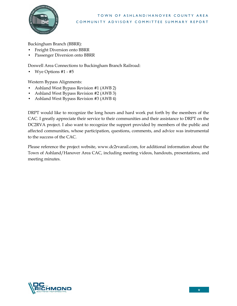

Buckingham Branch (BBRR):

- Freight Diversion onto BBRR
- Passenger Diversion onto BBRR

Doswell Area Connections to Buckingham Branch Railroad:

• Wye Options #1 - #5

Western Bypass Alignments:

- Ashland West Bypass Revision #1 (AWB 2)
- Ashland West Bypass Revision #2 (AWB 3)
- Ashland West Bypass Revision #3 (AWB 4)

DRPT would like to recognize the long hours and hard work put forth by the members of the CAC. I greatly appreciate their service to their communities and their assistance to DRPT on the DC2RVA project. I also want to recognize the support provided by members of the public and affected communities, whose participation, questions, comments, and advice was instrumental to the success of the CAC.

Please reference the project website, www.dc2rvarail.com, for additional information about the Town of Ashland/Hanover Area CAC, including meeting videos, handouts, presentations, and meeting minutes.

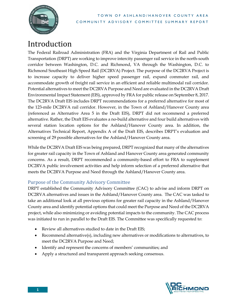

# <span id="page-6-0"></span>Introduction

The Federal Railroad Administration (FRA) and the Virginia Department of Rail and Public Transportation (DRPT) are working to improve intercity passenger rail service in the north-south corridor between Washington, D.C. and Richmond, VA through the Washington, D.C. to Richmond Southeast High Speed Rail (DC2RVA) Project. The purpose of the DC2RVA Project is to increase capacity to deliver higher speed passenger rail, expand commuter rail, and accommodate growth of freight rail service in an efficient and reliable multimodal rail corridor. Potential alternatives to meet the DC2RVA Purpose and Need are evaluated in the DC2RVA Draft Environmental Impact Statement (EIS), approved by FRA for public release on September 8, 2017. The DC2RVA Draft EIS includes DRPT recommendations for a preferred alternative for most of the 123-mile DC2RVA rail corridor. However, in the Town of Ashland/Hanover County area (referenced as Alternative Area 5 in the Draft EIS), DRPT did not recommend a preferred alternative. Rather, the Draft EIS evaluates a no-build alternative and four build alternatives with several station location options for the Ashland/Hanover County area. In addition, the Alternatives Technical Report, Appendix A of the Draft EIS, describes DRPT's evaluation and screening of 29 possible alternatives for the Ashland/Hanover County area.

While the DC2RVA Draft EIS was being prepared, DRPT recognized that many of the alternatives for greater rail capacity in the Town of Ashland and Hanover County area generated community concerns. As a result, DRPT recommended a community-based effort to FRA to supplement DC2RVA public involvement activities and help inform selection of a preferred alternative that meets the DC2RVA Purpose and Need through the Ashland/Hanover County area.

# <span id="page-6-1"></span>Purpose of the Community Advisory Committee

DRPT established the Community Advisory Committee (CAC) to advise and inform DRPT on DC2RVA alternatives and issues in the Ashland/Hanover County area. The CAC was tasked to take an additional look at all previous options for greater rail capacity in the Ashland/Hanover County area and identify potential options that could meet the Purpose and Need of the DC2RVA project, while also minimizing or avoiding potential impacts to the community. The CAC process was initiated to run in parallel to the Draft EIS. The Committee was specifically requested to:

- Review all alternatives studied to date in the Draft EIS;
- Recommend alternative(s), including new alternatives or modifications to alternatives, to meet the DC2RVA Purpose and Need;
- Identify and represent the concerns of members' communities; and
- Apply a structured and transparent approach seeking consensus.

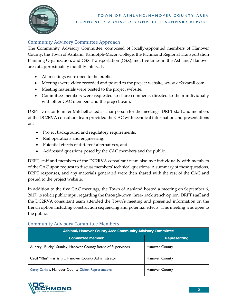

# <span id="page-7-0"></span>Community Advisory Committee Approach

The Community Advisory Committee, composed of locally-appointed members of Hanover County, the Town of Ashland, Randolph-Macon College, the Richmond Regional Transportation Planning Organization, and CSX Transportation (CSX), met five times in the Ashland/Hanover area at approximately monthly intervals.

- All meetings were open to the public.
- Meetings were video recorded and posted to the project website, www.dc2rvarail.com.
- Meeting materials were posted to the project website.
- Committee members were requested to share comments directed to them individually with other CAC members and the project team.

DRPT Director Jennifer Mitchell acted as chairperson for the meetings. DRPT staff and members of the DC2RVA consultant team provided the CAC with technical information and presentations on:

- Project background and regulatory requirements,
- Rail operations and engineering,
- Potential effects of different alternatives, and
- Addressed questions posed by the CAC members and the public.

DRPT staff and members of the DC2RVA consultant team also met individually with members of the CAC upon request to discuss members' technical questions. A summary of these questions, DRPT responses, and any materials generated were then shared with the rest of the CAC and posted to the project website.

In addition to the five CAC meetings, the Town of Ashland hosted a meeting on September 6, 2017, to solicit public input regarding the through-town three-track trench option. DRPT staff and the DC2RVA consultant team attended the Town's meeting and presented information on the trench option including construction sequencing and potential effects. This meeting was open to the public.

# <span id="page-7-1"></span>Community Advisory Committee Members

| Ashland/Hanover County Area Community Advisory Committee    |                       |  |  |
|-------------------------------------------------------------|-----------------------|--|--|
| <b>Committee Member</b>                                     | <b>Representing</b>   |  |  |
| Aubrey "Bucky" Stanley, Hanover County Board of Supervisors | <b>Hanover County</b> |  |  |
| Cecil "Rhu" Harris, Jr., Hanover County Administrator       | <b>Hanover County</b> |  |  |
| Carey Carlisle, Hanover County Citizen Representative       | <b>Hanover County</b> |  |  |

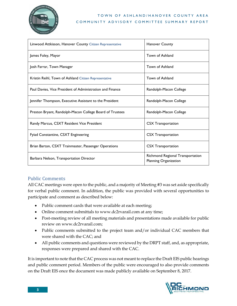

| Linwood Attkisson, Hanover County Citizen Representative  | <b>Hanover County</b>                                     |
|-----------------------------------------------------------|-----------------------------------------------------------|
| James Foley, Mayor                                        | Town of Ashland                                           |
| Josh Farrar, Town Manager                                 | Town of Ashland                                           |
| Kristin Reihl, Town of Ashland Citizen Representative     | Town of Ashland                                           |
| Paul Davies, Vice President of Administration and Finance | Randolph-Macon College                                    |
| Jennifer Thompson, Executive Assistant to the President   | Randolph-Macon College                                    |
| Preston Bryant, Randolph-Macon College Board of Trustees  | Randolph-Macon College                                    |
| Randy Marcus, CSXT Resident Vice President                | <b>CSX Transportation</b>                                 |
| Fyiad Constantine, CSXT Engineering                       | <b>CSX Transportation</b>                                 |
| Brian Barton, CSXT Trainmaster, Passenger Operations      | <b>CSX Transportation</b>                                 |
| Barbara Nelson, Transportation Director                   | Richmond Regional Transportation<br>Planning Organization |

## <span id="page-8-0"></span>Public Comments

All CAC meetings were open to the public, and a majority of Meeting #3 was set aside specifically for verbal public comment. In addition, the public was provided with several opportunities to participate and comment as described below:

- Public comment cards that were available at each meeting;
- Online comment submittals to www.dc2rvarail.com at any time;
- Post-meeting review of all meeting materials and presentations made available for public review on www.dc2rvarail.com;
- Public comments submitted to the project team and/or individual CAC members that were shared with the CAC; and
- All public comments and questions were reviewed by the DRPT staff, and, as appropriate, responses were prepared and shared with the CAC.

It is important to note that the CAC process was not meant to replace the Draft EIS public hearings and public comment period. Members of the public were encouraged to also provide comments on the Draft EIS once the document was made publicly available on September 8, 2017.

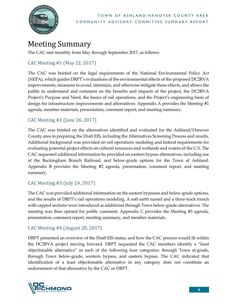

# <span id="page-9-0"></span>Meeting Summary

The CAC met monthly from May through September 2017, as follows:

# <span id="page-9-1"></span>CAC Meeting #1 (May 22, 2017)

The CAC was briefed on the legal requirements of the National Environmental Policy Act (NEPA), which guides DRPT's evaluations of the environmental effects of the proposed DC2RVA improvements, measures to avoid, minimize, and otherwise mitigate those effects, and allows the public to understand and comment on the benefits and impacts of the project, the DC2RVA Project's Purpose and Need, the basics of rail operations, and the Project's engineering basis of design for infrastructure improvements and alternatives. Appendix A provides the Meeting #1 agenda, member materials, presentation, comment report, and meeting summary.

# <span id="page-9-2"></span>CAC Meeting #2 (June 26, 2017)

The CAC was briefed on the alternatives identified and evaluated for the Ashland/Hanover County area in preparing the Draft EIS, including the Alternatives Screening Process and results. Additional background was provided on rail operations modeling and federal requirements for evaluating potential project effects on cultural resources and wetlands and waters of the U.S. The CAC requested additional information be provided on eastern bypass alternatives, including use of the Buckingham Branch Railroad, and below-grade options for the Town of Ashland. Appendix B provides the Meeting #2 agenda, presentation, comment report, and meeting summary.

# <span id="page-9-3"></span>CAC Meeting #3 (July 24, 2017)

The CAC was provided additional information on the eastern bypasses and below-grade options, and the results of DRPT's rail operations modeling. A soft earth tunnel and a three-track trench with capped sections were introduced as additional through Town below-grade alternatives. The meeting was then opened for public comment. Appendix C provides the Meeting #3 agenda, presentation, comment report, meeting summary, and member materials.

# <span id="page-9-4"></span>CAC Meeting #4 (August 28, 2017)

DRPT presented an overview of the Draft EIS status, and how the CAC process would fit within the DC2RVA project moving forward. DRPT requested the CAC members identify a "least objectionable alternative" in each of the following four categories: through Town at-grade, through Town below-grade, western bypass, and eastern bypass. The CAC indicated that identification of a least objectionable alternative in any category does not constitute an endorsement of that alternative by the CAC or DRPT.

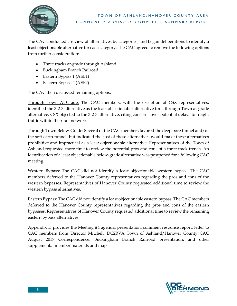

The CAC conducted a review of alternatives by categories, and began deliberations to identify a least objectionable alternative for each category. The CAC agreed to remove the following options from further consideration:

- Three tracks at-grade through Ashland
- Buckingham Branch Railroad
- Eastern Bypass 1 (AEB1)
- Eastern Bypass 2 (AEB2)

The CAC then discussed remaining options.

Through Town At-Grade: The CAC members, with the exception of CSX representatives, identified the 3-2-3 alternative as the least objectionable alternative for a through Town at-grade alternative. CSX objected to the 3-2-3 alternative, citing concerns over potential delays to freight traffic within their rail network.

Through Town Below-Grade: Several of the CAC members favored the deep bore tunnel and/or the soft earth tunnel, but indicated the cost of these alternatives would make these alternatives prohibitive and impractical as a least objectionable alternative. Representatives of the Town of Ashland requested more time to review the potential pros and cons of a three track trench. An identification of a least objectionable below-grade alternative was postponed for a following CAC meeting.

Western Bypass: The CAC did not identify a least objectionable western bypass. The CAC members deferred to the Hanover County representatives regarding the pros and cons of the western bypasses. Representatives of Hanover County requested additional time to review the western bypass alternatives.

Eastern Bypass: The CAC did not identify a least objectionable eastern bypass. The CAC members deferred to the Hanover County representatives regarding the pros and cons of the eastern bypasses. Representatives of Hanover County requested additional time to review the remaining eastern bypass alternatives.

<span id="page-10-0"></span>Appendix D provides the Meeting #4 agenda, presentation, comment response report, letter to CAC members from Director Mitchell, DC2RVA Town of Ashland/Hanover County CAC August 2017 Correspondence, Buckingham Branch Railroad presentation, and other supplemental member materials and maps.

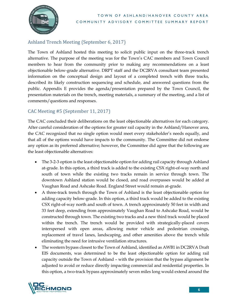

# Ashland Trench Meeting (September 6, 2017)

The Town of Ashland hosted this meeting to solicit public input on the three-track trench alternative. The purpose of the meeting was for the Town's CAC members and Town Council members to hear from the community prior to making any recommendations on a least objectionable below-grade alternative. DRPT staff and the DC2RVA consultant team presented information on the conceptual design and layout of a completed trench with three tracks, described its likely construction sequencing and schedule, and answered questions from the public. Appendix E provides the agenda/presentation prepared by the Town Council, the presentation materials on the trench, meeting materials, a summary of the meeting, and a list of comments/questions and responses.

# <span id="page-11-0"></span>CAC Meeting #5 (September 11, 2017)

The CAC concluded their deliberations on the least objectionable alternatives for each category. After careful consideration of the options for greater rail capacity in the Ashland/Hanover area, the CAC recognized that no single option would meet every stakeholder's needs equally, and that all of the options would have impacts to the community. The Committee did not endorse any option as its preferred alternative; however, the Committee did agree that the following are the least objectionable alternatives:

- The 3-2-3 option is the least objectionable option for adding rail capacity through Ashland at-grade. In this option, a third track is added to the existing CSX right-of-way north and south of town while the existing two tracks remain in service through town. The downtown Ashland station would be closed, and road overpasses would be added at Vaughan Road and Ashcake Road. England Street would remain at-grade.
- A three-track trench through the Town of Ashland is the least objectionable option for adding capacity below-grade. In this option, a third track would be added to the existing CSX right-of-way north and south of town. A trench approximately 50 feet in width and 33 feet deep, extending from approximately Vaughan Road to Ashcake Road, would be constructed through town. The existing two tracks and a new third track would be placed within the trench. The trench would be provided with strategically-placed covers interspersed with open areas, allowing motor vehicle and pedestrian crossings, replacement of travel lanes, landscaping, and other amenities above the trench while eliminating the need for intrusive ventilation structures.
- The western bypass closest to the Town of Ashland, identified as AWB1 in DC2RVA Draft EIS documents, was determined to be the least objectionable option for adding rail capacity outside the Town of Ashland – with the provision that the bypass alignment be adjusted to avoid or reduce directly impacting commercial and residential properties. In this option, a two-track bypass approximately seven miles long would extend around the